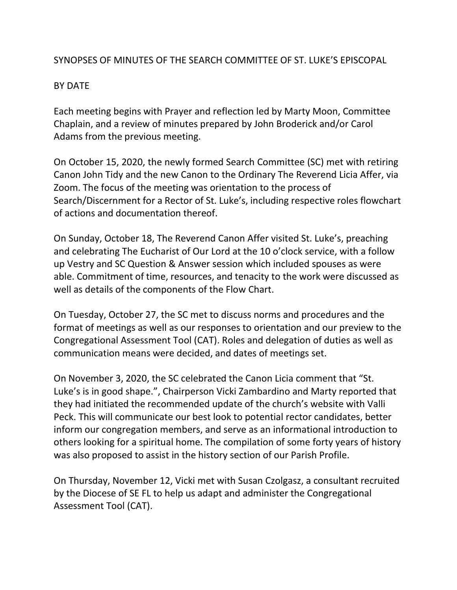#### SYNOPSES OF MINUTES OF THE SEARCH COMMITTEE OF ST. LUKE'S EPISCOPAL

#### BY DATE

Each meeting begins with Prayer and reflection led by Marty Moon, Committee Chaplain, and a review of minutes prepared by John Broderick and/or Carol Adams from the previous meeting.

On October 15, 2020, the newly formed Search Committee (SC) met with retiring Canon John Tidy and the new Canon to the Ordinary The Reverend Licia Affer, via Zoom. The focus of the meeting was orientation to the process of Search/Discernment for a Rector of St. Luke's, including respective roles flowchart of actions and documentation thereof.

On Sunday, October 18, The Reverend Canon Affer visited St. Luke's, preaching and celebrating The Eucharist of Our Lord at the 10 o'clock service, with a follow up Vestry and SC Question & Answer session which included spouses as were able. Commitment of time, resources, and tenacity to the work were discussed as well as details of the components of the Flow Chart.

On Tuesday, October 27, the SC met to discuss norms and procedures and the format of meetings as well as our responses to orientation and our preview to the Congregational Assessment Tool (CAT). Roles and delegation of duties as well as communication means were decided, and dates of meetings set.

On November 3, 2020, the SC celebrated the Canon Licia comment that "St. Luke's is in good shape.", Chairperson Vicki Zambardino and Marty reported that they had initiated the recommended update of the church's website with Valli Peck. This will communicate our best look to potential rector candidates, better inform our congregation members, and serve as an informational introduction to others looking for a spiritual home. The compilation of some forty years of history was also proposed to assist in the history section of our Parish Profile.

On Thursday, November 12, Vicki met with Susan Czolgasz, a consultant recruited by the Diocese of SE FL to help us adapt and administer the Congregational Assessment Tool (CAT).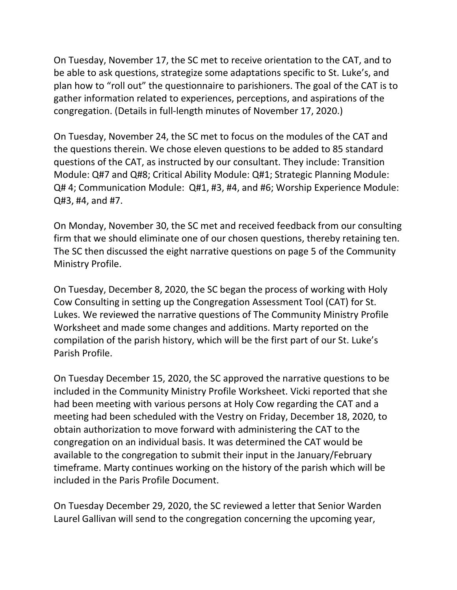On Tuesday, November 17, the SC met to receive orientation to the CAT, and to be able to ask questions, strategize some adaptations specific to St. Luke's, and plan how to "roll out" the questionnaire to parishioners. The goal of the CAT is to gather information related to experiences, perceptions, and aspirations of the congregation. (Details in full-length minutes of November 17, 2020.)

On Tuesday, November 24, the SC met to focus on the modules of the CAT and the questions therein. We chose eleven questions to be added to 85 standard questions of the CAT, as instructed by our consultant. They include: Transition Module: Q#7 and Q#8; Critical Ability Module: Q#1; Strategic Planning Module: Q# 4; Communication Module: Q#1, #3, #4, and #6; Worship Experience Module: Q#3, #4, and #7.

On Monday, November 30, the SC met and received feedback from our consulting firm that we should eliminate one of our chosen questions, thereby retaining ten. The SC then discussed the eight narrative questions on page 5 of the Community Ministry Profile.

On Tuesday, December 8, 2020, the SC began the process of working with Holy Cow Consulting in setting up the Congregation Assessment Tool (CAT) for St. Lukes. We reviewed the narrative questions of The Community Ministry Profile Worksheet and made some changes and additions. Marty reported on the compilation of the parish history, which will be the first part of our St. Luke's Parish Profile.

On Tuesday December 15, 2020, the SC approved the narrative questions to be included in the Community Ministry Profile Worksheet. Vicki reported that she had been meeting with various persons at Holy Cow regarding the CAT and a meeting had been scheduled with the Vestry on Friday, December 18, 2020, to obtain authorization to move forward with administering the CAT to the congregation on an individual basis. It was determined the CAT would be available to the congregation to submit their input in the January/February timeframe. Marty continues working on the history of the parish which will be included in the Paris Profile Document.

On Tuesday December 29, 2020, the SC reviewed a letter that Senior Warden Laurel Gallivan will send to the congregation concerning the upcoming year,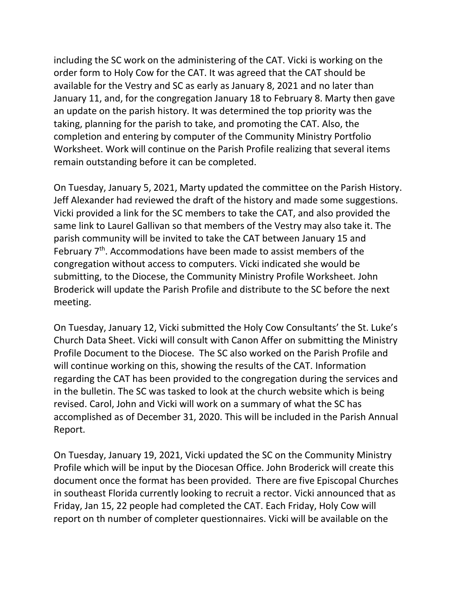including the SC work on the administering of the CAT. Vicki is working on the order form to Holy Cow for the CAT. It was agreed that the CAT should be available for the Vestry and SC as early as January 8, 2021 and no later than January 11, and, for the congregation January 18 to February 8. Marty then gave an update on the parish history. It was determined the top priority was the taking, planning for the parish to take, and promoting the CAT. Also, the completion and entering by computer of the Community Ministry Portfolio Worksheet. Work will continue on the Parish Profile realizing that several items remain outstanding before it can be completed.

On Tuesday, January 5, 2021, Marty updated the committee on the Parish History. Jeff Alexander had reviewed the draft of the history and made some suggestions. Vicki provided a link for the SC members to take the CAT, and also provided the same link to Laurel Gallivan so that members of the Vestry may also take it. The parish community will be invited to take the CAT between January 15 and February 7<sup>th</sup>. Accommodations have been made to assist members of the congregation without access to computers. Vicki indicated she would be submitting, to the Diocese, the Community Ministry Profile Worksheet. John Broderick will update the Parish Profile and distribute to the SC before the next meeting.

On Tuesday, January 12, Vicki submitted the Holy Cow Consultants' the St. Luke's Church Data Sheet. Vicki will consult with Canon Affer on submitting the Ministry Profile Document to the Diocese. The SC also worked on the Parish Profile and will continue working on this, showing the results of the CAT. Information regarding the CAT has been provided to the congregation during the services and in the bulletin. The SC was tasked to look at the church website which is being revised. Carol, John and Vicki will work on a summary of what the SC has accomplished as of December 31, 2020. This will be included in the Parish Annual Report.

On Tuesday, January 19, 2021, Vicki updated the SC on the Community Ministry Profile which will be input by the Diocesan Office. John Broderick will create this document once the format has been provided. There are five Episcopal Churches in southeast Florida currently looking to recruit a rector. Vicki announced that as Friday, Jan 15, 22 people had completed the CAT. Each Friday, Holy Cow will report on th number of completer questionnaires. Vicki will be available on the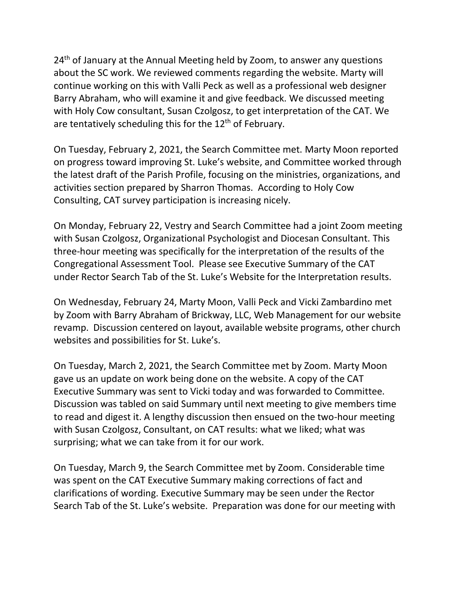24<sup>th</sup> of January at the Annual Meeting held by Zoom, to answer any questions about the SC work. We reviewed comments regarding the website. Marty will continue working on this with Valli Peck as well as a professional web designer Barry Abraham, who will examine it and give feedback. We discussed meeting with Holy Cow consultant, Susan Czolgosz, to get interpretation of the CAT. We are tentatively scheduling this for the 12<sup>th</sup> of February.

On Tuesday, February 2, 2021, the Search Committee met. Marty Moon reported on progress toward improving St. Luke's website, and Committee worked through the latest draft of the Parish Profile, focusing on the ministries, organizations, and activities section prepared by Sharron Thomas. According to Holy Cow Consulting, CAT survey participation is increasing nicely.

On Monday, February 22, Vestry and Search Committee had a joint Zoom meeting with Susan Czolgosz, Organizational Psychologist and Diocesan Consultant. This three-hour meeting was specifically for the interpretation of the results of the Congregational Assessment Tool. Please see Executive Summary of the CAT under Rector Search Tab of the St. Luke's Website for the Interpretation results.

On Wednesday, February 24, Marty Moon, Valli Peck and Vicki Zambardino met by Zoom with Barry Abraham of Brickway, LLC, Web Management for our website revamp. Discussion centered on layout, available website programs, other church websites and possibilities for St. Luke's.

On Tuesday, March 2, 2021, the Search Committee met by Zoom. Marty Moon gave us an update on work being done on the website. A copy of the CAT Executive Summary was sent to Vicki today and was forwarded to Committee. Discussion was tabled on said Summary until next meeting to give members time to read and digest it. A lengthy discussion then ensued on the two-hour meeting with Susan Czolgosz, Consultant, on CAT results: what we liked; what was surprising; what we can take from it for our work.

On Tuesday, March 9, the Search Committee met by Zoom. Considerable time was spent on the CAT Executive Summary making corrections of fact and clarifications of wording. Executive Summary may be seen under the Rector Search Tab of the St. Luke's website. Preparation was done for our meeting with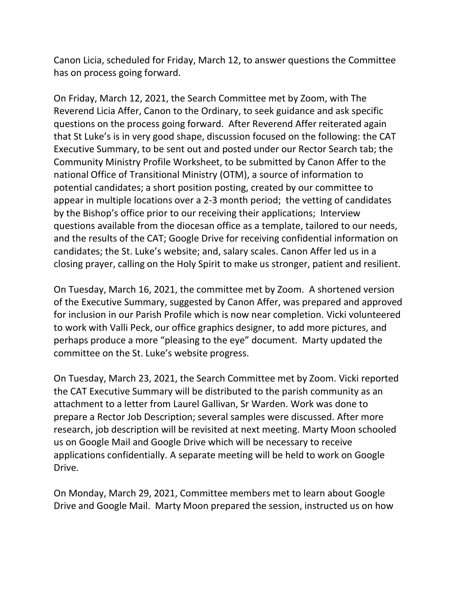Canon Licia, scheduled for Friday, March 12, to answer questions the Committee has on process going forward.

On Friday, March 12, 2021, the Search Committee met by Zoom, with The Reverend Licia Affer, Canon to the Ordinary, to seek guidance and ask specific questions on the process going forward. After Reverend Affer reiterated again that St Luke's is in very good shape, discussion focused on the following: the CAT Executive Summary, to be sent out and posted under our Rector Search tab; the Community Ministry Profile Worksheet, to be submitted by Canon Affer to the national Office of Transitional Ministry (OTM), a source of information to potential candidates; a short position posting, created by our committee to appear in multiple locations over a 2-3 month period; the vetting of candidates by the Bishop's office prior to our receiving their applications; Interview questions available from the diocesan office as a template, tailored to our needs, and the results of the CAT; Google Drive for receiving confidential information on candidates; the St. Luke's website; and, salary scales. Canon Affer led us in a closing prayer, calling on the Holy Spirit to make us stronger, patient and resilient.

On Tuesday, March 16, 2021, the committee met by Zoom. A shortened version of the Executive Summary, suggested by Canon Affer, was prepared and approved for inclusion in our Parish Profile which is now near completion. Vicki volunteered to work with Valli Peck, our office graphics designer, to add more pictures, and perhaps produce a more "pleasing to the eye" document. Marty updated the committee on the St. Luke's website progress.

On Tuesday, March 23, 2021, the Search Committee met by Zoom. Vicki reported the CAT Executive Summary will be distributed to the parish community as an attachment to a letter from Laurel Gallivan, Sr Warden. Work was done to prepare a Rector Job Description; several samples were discussed. After more research, job description will be revisited at next meeting. Marty Moon schooled us on Google Mail and Google Drive which will be necessary to receive applications confidentially. A separate meeting will be held to work on Google Drive.

On Monday, March 29, 2021, Committee members met to learn about Google Drive and Google Mail. Marty Moon prepared the session, instructed us on how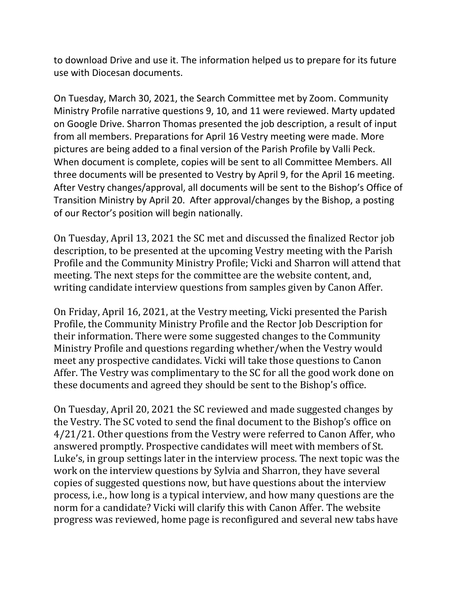to download Drive and use it. The information helped us to prepare for its future use with Diocesan documents.

On Tuesday, March 30, 2021, the Search Committee met by Zoom. Community Ministry Profile narrative questions 9, 10, and 11 were reviewed. Marty updated on Google Drive. Sharron Thomas presented the job description, a result of input from all members. Preparations for April 16 Vestry meeting were made. More pictures are being added to a final version of the Parish Profile by Valli Peck. When document is complete, copies will be sent to all Committee Members. All three documents will be presented to Vestry by April 9, for the April 16 meeting. After Vestry changes/approval, all documents will be sent to the Bishop's Office of Transition Ministry by April 20. After approval/changes by the Bishop, a posting of our Rector's position will begin nationally.

On Tuesday, April 13, 2021 the SC met and discussed the finalized Rector job description, to be presented at the upcoming Vestry meeting with the Parish Profile and the Community Ministry Profile; Vicki and Sharron will attend that meeting. The next steps for the committee are the website content, and, writing candidate interview questions from samples given by Canon Affer.

On Friday, April 16, 2021, at the Vestry meeting, Vicki presented the Parish Profile, the Community Ministry Profile and the Rector Job Description for their information. There were some suggested changes to the Community Ministry Profile and questions regarding whether/when the Vestry would meet any prospective candidates. Vicki will take those questions to Canon Affer. The Vestry was complimentary to the SC for all the good work done on these documents and agreed they should be sent to the Bishop's office.

On Tuesday, April 20, 2021 the SC reviewed and made suggested changes by the Vestry. The SC voted to send the final document to the Bishop's office on 4/21/21. Other questions from the Vestry were referred to Canon Affer, who answered promptly. Prospective candidates will meet with members of St. Luke's, in group settings later in the interview process. The next topic was the work on the interview questions by Sylvia and Sharron, they have several copies of suggested questions now, but have questions about the interview process, i.e., how long is a typical interview, and how many questions are the norm for a candidate? Vicki will clarify this with Canon Affer. The website progress was reviewed, home page is reconfigured and several new tabs have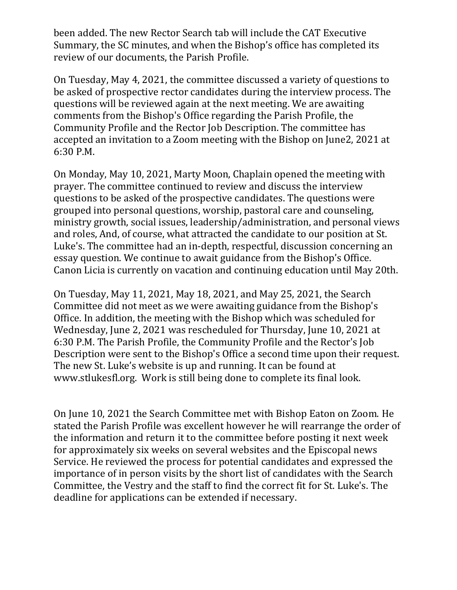been added. The new Rector Search tab will include the CAT Executive Summary, the SC minutes, and when the Bishop's office has completed its review of our documents, the Parish Profile.

On Tuesday, May 4, 2021, the committee discussed a variety of questions to be asked of prospective rector candidates during the interview process. The questions will be reviewed again at the next meeting. We are awaiting comments from the Bishop's Office regarding the Parish Profile, the Community Profile and the Rector Job Description. The committee has accepted an invitation to a Zoom meeting with the Bishop on June2, 2021 at 6:30 P.M.

On Monday, May 10, 2021, Marty Moon, Chaplain opened the meeting with prayer. The committee continued to review and discuss the interview questions to be asked of the prospective candidates. The questions were grouped into personal questions, worship, pastoral care and counseling, ministry growth, social issues, leadership/administration, and personal views and roles, And, of course, what attracted the candidate to our position at St. Luke's. The committee had an in-depth, respectful, discussion concerning an essay question. We continue to await guidance from the Bishop's Office. Canon Licia is currently on vacation and continuing education until May 20th.

On Tuesday, May 11, 2021, May 18, 2021, and May 25, 2021, the Search Committee did not meet as we were awaiting guidance from the Bishop's Office. In addition, the meeting with the Bishop which was scheduled for Wednesday, June 2, 2021 was rescheduled for Thursday, June 10, 2021 at 6:30 P.M. The Parish Profile, the Community Profile and the Rector's Job Description were sent to the Bishop's Office a second time upon their request. The new St. Luke's website is up and running. It can be found at [www.stlukesfl.org.](http://www.stlukesfl.org/) Work is still being done to complete its final look.

On June 10, 2021 the Search Committee met with Bishop Eaton on Zoom. He stated the Parish Profile was excellent however he will rearrange the order of the information and return it to the committee before posting it next week for approximately six weeks on several websites and the Episcopal news Service. He reviewed the process for potential candidates and expressed the importance of in person visits by the short list of candidates with the Search Committee, the Vestry and the staff to find the correct fit for St. Luke's. The deadline for applications can be extended if necessary.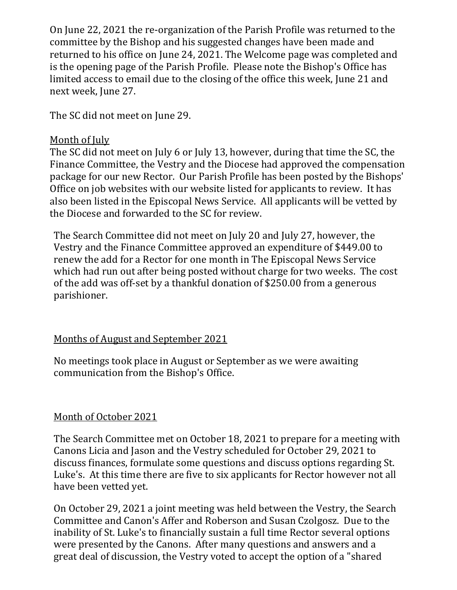On June 22, 2021 the re-organization of the Parish Profile was returned to the committee by the Bishop and his suggested changes have been made and returned to his office on June 24, 2021. The Welcome page was completed and is the opening page of the Parish Profile. Please note the Bishop's Office has limited access to email due to the closing of the office this week, June 21 and next week, June 27.

The SC did not meet on June 29.

#### Month of July

The SC did not meet on July 6 or July 13, however, during that time the SC, the Finance Committee, the Vestry and the Diocese had approved the compensation package for our new Rector. Our Parish Profile has been posted by the Bishops' Office on job websites with our website listed for applicants to review. It has also been listed in the Episcopal News Service. All applicants will be vetted by the Diocese and forwarded to the SC for review.

The Search Committee did not meet on July 20 and July 27, however, the Vestry and the Finance Committee approved an expenditure of \$449.00 to renew the add for a Rector for one month in The Episcopal News Service which had run out after being posted without charge for two weeks. The cost of the add was off-set by a thankful donation of \$250.00 from a generous parishioner.

# Months of August and September 2021

No meetings took place in August or September as we were awaiting communication from the Bishop's Office.

# Month of October 2021

The Search Committee met on October 18, 2021 to prepare for a meeting with Canons Licia and Jason and the Vestry scheduled for October 29, 2021 to discuss finances, formulate some questions and discuss options regarding St. Luke's. At this time there are five to six applicants for Rector however not all have been vetted yet.

On October 29, 2021 a joint meeting was held between the Vestry, the Search Committee and Canon's Affer and Roberson and Susan Czolgosz. Due to the inability of St. Luke's to financially sustain a full time Rector several options were presented by the Canons. After many questions and answers and a great deal of discussion, the Vestry voted to accept the option of a "shared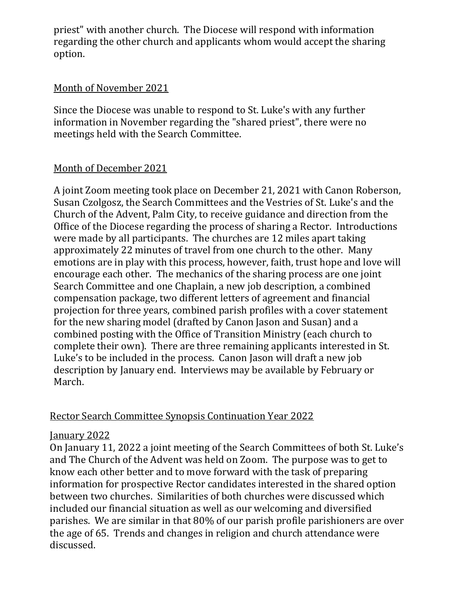priest" with another church. The Diocese will respond with information regarding the other church and applicants whom would accept the sharing option.

#### Month of November 2021

Since the Diocese was unable to respond to St. Luke's with any further information in November regarding the "shared priest", there were no meetings held with the Search Committee.

# Month of December 2021

A joint Zoom meeting took place on December 21, 2021 with Canon Roberson, Susan Czolgosz, the Search Committees and the Vestries of St. Luke's and the Church of the Advent, Palm City, to receive guidance and direction from the Office of the Diocese regarding the process of sharing a Rector. Introductions were made by all participants. The churches are 12 miles apart taking approximately 22 minutes of travel from one church to the other. Many emotions are in play with this process, however, faith, trust hope and love will encourage each other. The mechanics of the sharing process are one joint Search Committee and one Chaplain, a new job description, a combined compensation package, two different letters of agreement and financial projection for three years, combined parish profiles with a cover statement for the new sharing model (drafted by Canon Jason and Susan) and a combined posting with the Office of Transition Ministry (each church to complete their own). There are three remaining applicants interested in St. Luke's to be included in the process. Canon Jason will draft a new job description by January end. Interviews may be available by February or March.

# Rector Search Committee Synopsis Continuation Year 2022

# January 2022

On January 11, 2022 a joint meeting of the Search Committees of both St. Luke's and The Church of the Advent was held on Zoom. The purpose was to get to know each other better and to move forward with the task of preparing information for prospective Rector candidates interested in the shared option between two churches. Similarities of both churches were discussed which included our financial situation as well as our welcoming and diversified parishes. We are similar in that 80% of our parish profile parishioners are over the age of 65. Trends and changes in religion and church attendance were discussed.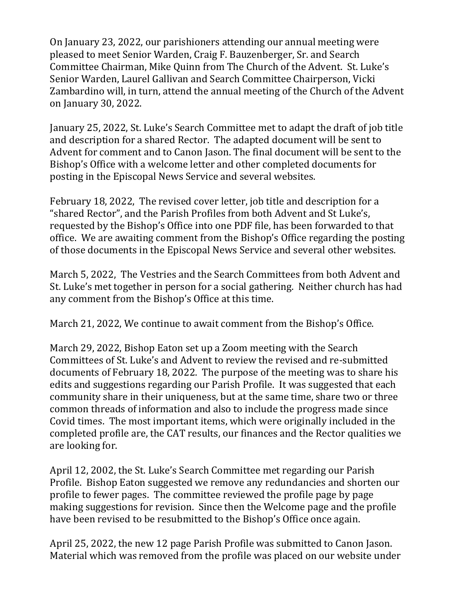On January 23, 2022, our parishioners attending our annual meeting were pleased to meet Senior Warden, Craig F. Bauzenberger, Sr. and Search Committee Chairman, Mike Quinn from The Church of the Advent. St. Luke's Senior Warden, Laurel Gallivan and Search Committee Chairperson, Vicki Zambardino will, in turn, attend the annual meeting of the Church of the Advent on January 30, 2022.

January 25, 2022, St. Luke's Search Committee met to adapt the draft of job title and description for a shared Rector. The adapted document will be sent to Advent for comment and to Canon Jason. The final document will be sent to the Bishop's Office with a welcome letter and other completed documents for posting in the Episcopal News Service and several websites.

February 18, 2022, The revised cover letter, job title and description for a "shared Rector", and the Parish Profiles from both Advent and St Luke's, requested by the Bishop's Office into one PDF file, has been forwarded to that office. We are awaiting comment from the Bishop's Office regarding the posting of those documents in the Episcopal News Service and several other websites.

March 5, 2022, The Vestries and the Search Committees from both Advent and St. Luke's met together in person for a social gathering. Neither church has had any comment from the Bishop's Office at this time.

March 21, 2022, We continue to await comment from the Bishop's Office.

March 29, 2022, Bishop Eaton set up a Zoom meeting with the Search Committees of St. Luke's and Advent to review the revised and re-submitted documents of February 18, 2022. The purpose of the meeting was to share his edits and suggestions regarding our Parish Profile. It was suggested that each community share in their uniqueness, but at the same time, share two or three common threads of information and also to include the progress made since Covid times. The most important items, which were originally included in the completed profile are, the CAT results, our finances and the Rector qualities we are looking for.

April 12, 2002, the St. Luke's Search Committee met regarding our Parish Profile. Bishop Eaton suggested we remove any redundancies and shorten our profile to fewer pages. The committee reviewed the profile page by page making suggestions for revision. Since then the Welcome page and the profile have been revised to be resubmitted to the Bishop's Office once again.

April 25, 2022, the new 12 page Parish Profile was submitted to Canon Jason. Material which was removed from the profile was placed on our website under